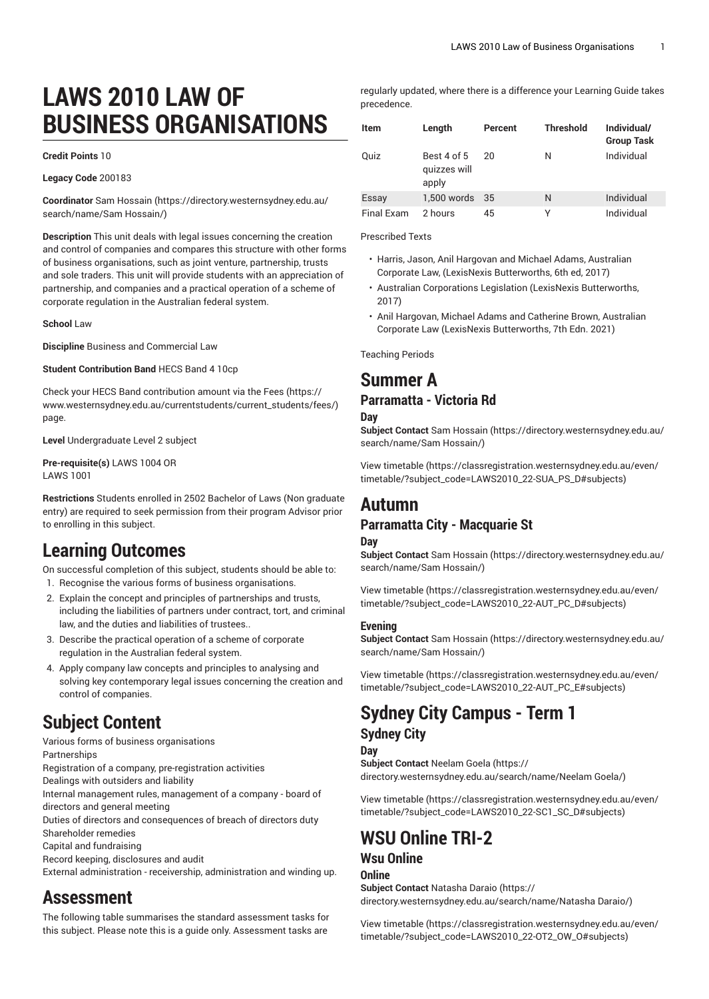# **LAWS 2010 LAW OF BUSINESS ORGANISATIONS**

#### **Credit Points** 10

**Legacy Code** 200183

**Coordinator** [Sam Hossain](https://directory.westernsydney.edu.au/search/name/Sam Hossain/) [\(https://directory.westernsydney.edu.au/](https://directory.westernsydney.edu.au/search/name/Sam Hossain/) [search/name/Sam](https://directory.westernsydney.edu.au/search/name/Sam Hossain/) Hossain/)

**Description** This unit deals with legal issues concerning the creation and control of companies and compares this structure with other forms of business organisations, such as joint venture, partnership, trusts and sole traders. This unit will provide students with an appreciation of partnership, and companies and a practical operation of a scheme of corporate regulation in the Australian federal system.

#### **School** Law

**Discipline** Business and Commercial Law

**Student Contribution Band** HECS Band 4 10cp

Check your HECS Band contribution amount via the [Fees \(https://](https://www.westernsydney.edu.au/currentstudents/current_students/fees/) [www.westernsydney.edu.au/currentstudents/current\\_students/fees/\)](https://www.westernsydney.edu.au/currentstudents/current_students/fees/) page.

**Level** Undergraduate Level 2 subject

**Pre-requisite(s)** LAWS 1004 OR [LAWS](/search/?P=LAWS%201001) 1001

**Restrictions** Students enrolled in 2502 Bachelor of Laws (Non graduate entry) are required to seek permission from their program Advisor prior to enrolling in this subject.

## **Learning Outcomes**

On successful completion of this subject, students should be able to:

- 1. Recognise the various forms of business organisations.
- 2. Explain the concept and principles of partnerships and trusts, including the liabilities of partners under contract, tort, and criminal law, and the duties and liabilities of trustees..
- 3. Describe the practical operation of a scheme of corporate regulation in the Australian federal system.
- 4. Apply company law concepts and principles to analysing and solving key contemporary legal issues concerning the creation and control of companies.

## **Subject Content**

Various forms of business organisations Partnerships

Registration of a company, pre-registration activities Dealings with outsiders and liability

Internal management rules, management of a company - board of directors and general meeting

Duties of directors and consequences of breach of directors duty Shareholder remedies

Capital and fundraising

Record keeping, disclosures and audit

External administration - receivership, administration and winding up.

## **Assessment**

The following table summarises the standard assessment tasks for this subject. Please note this is a guide only. Assessment tasks are

regularly updated, where there is a difference your Learning Guide takes precedence.

| Item              | Length                               | Percent | <b>Threshold</b> | Individual/<br><b>Group Task</b> |
|-------------------|--------------------------------------|---------|------------------|----------------------------------|
| Quiz              | Best 4 of 5<br>quizzes will<br>apply | 20      | Ν                | Individual                       |
| Essay             | 1,500 words 35                       |         | N                | Individual                       |
| <b>Final Exam</b> | 2 hours                              | 45      | γ                | Individual                       |

Prescribed Texts

- Harris, Jason, Anil Hargovan and Michael Adams, Australian Corporate Law, (LexisNexis Butterworths, 6th ed, 2017)
- Australian Corporations Legislation (LexisNexis Butterworths, 2017)
- Anil Hargovan, Michael Adams and Catherine Brown, Australian Corporate Law (LexisNexis Butterworths, 7th Edn. 2021)

Teaching Periods

## **Summer A Parramatta - Victoria Rd**

#### **Day**

**Subject Contact** [Sam Hossain \(https://directory.westernsydney.edu.au/](https://directory.westernsydney.edu.au/search/name/Sam Hossain/) [search/name/Sam](https://directory.westernsydney.edu.au/search/name/Sam Hossain/) Hossain/)

[View timetable](https://classregistration.westernsydney.edu.au/even/timetable/?subject_code=LAWS2010_22-SUA_PS_D#subjects) [\(https://classregistration.westernsydney.edu.au/even/](https://classregistration.westernsydney.edu.au/even/timetable/?subject_code=LAWS2010_22-SUA_PS_D#subjects) [timetable/?subject\\_code=LAWS2010\\_22-SUA\\_PS\\_D#subjects\)](https://classregistration.westernsydney.edu.au/even/timetable/?subject_code=LAWS2010_22-SUA_PS_D#subjects)

## **Autumn Parramatta City - Macquarie St**

#### **Day**

**Subject Contact** [Sam Hossain \(https://directory.westernsydney.edu.au/](https://directory.westernsydney.edu.au/search/name/Sam Hossain/) [search/name/Sam](https://directory.westernsydney.edu.au/search/name/Sam Hossain/) Hossain/)

[View timetable](https://classregistration.westernsydney.edu.au/even/timetable/?subject_code=LAWS2010_22-AUT_PC_D#subjects) [\(https://classregistration.westernsydney.edu.au/even/](https://classregistration.westernsydney.edu.au/even/timetable/?subject_code=LAWS2010_22-AUT_PC_D#subjects) [timetable/?subject\\_code=LAWS2010\\_22-AUT\\_PC\\_D#subjects\)](https://classregistration.westernsydney.edu.au/even/timetable/?subject_code=LAWS2010_22-AUT_PC_D#subjects)

#### **Evening**

**Subject Contact** [Sam Hossain \(https://directory.westernsydney.edu.au/](https://directory.westernsydney.edu.au/search/name/Sam Hossain/) [search/name/Sam](https://directory.westernsydney.edu.au/search/name/Sam Hossain/) Hossain/)

[View timetable](https://classregistration.westernsydney.edu.au/even/timetable/?subject_code=LAWS2010_22-AUT_PC_E#subjects) [\(https://classregistration.westernsydney.edu.au/even/](https://classregistration.westernsydney.edu.au/even/timetable/?subject_code=LAWS2010_22-AUT_PC_E#subjects) [timetable/?subject\\_code=LAWS2010\\_22-AUT\\_PC\\_E#subjects\)](https://classregistration.westernsydney.edu.au/even/timetable/?subject_code=LAWS2010_22-AUT_PC_E#subjects)

## **Sydney City Campus - Term 1 Sydney City**

**Day**

**Subject Contact** [Neelam Goela \(https://](https://directory.westernsydney.edu.au/search/name/Neelam Goela/) [directory.westernsydney.edu.au/search/name/Neelam](https://directory.westernsydney.edu.au/search/name/Neelam Goela/) Goela/)

[View timetable](https://classregistration.westernsydney.edu.au/even/timetable/?subject_code=LAWS2010_22-SC1_SC_D#subjects) [\(https://classregistration.westernsydney.edu.au/even/](https://classregistration.westernsydney.edu.au/even/timetable/?subject_code=LAWS2010_22-SC1_SC_D#subjects) [timetable/?subject\\_code=LAWS2010\\_22-SC1\\_SC\\_D#subjects\)](https://classregistration.westernsydney.edu.au/even/timetable/?subject_code=LAWS2010_22-SC1_SC_D#subjects)

# **WSU Online TRI-2**

## **Wsu Online**

### **Online**

**Subject Contact** [Natasha Daraio](https://directory.westernsydney.edu.au/search/name/Natasha Daraio/) [\(https://](https://directory.westernsydney.edu.au/search/name/Natasha Daraio/) [directory.westernsydney.edu.au/search/name/Natasha](https://directory.westernsydney.edu.au/search/name/Natasha Daraio/) Daraio/)

[View timetable](https://classregistration.westernsydney.edu.au/even/timetable/?subject_code=LAWS2010_22-OT2_OW_O#subjects) [\(https://classregistration.westernsydney.edu.au/even/](https://classregistration.westernsydney.edu.au/even/timetable/?subject_code=LAWS2010_22-OT2_OW_O#subjects) [timetable/?subject\\_code=LAWS2010\\_22-OT2\\_OW\\_O#subjects](https://classregistration.westernsydney.edu.au/even/timetable/?subject_code=LAWS2010_22-OT2_OW_O#subjects))